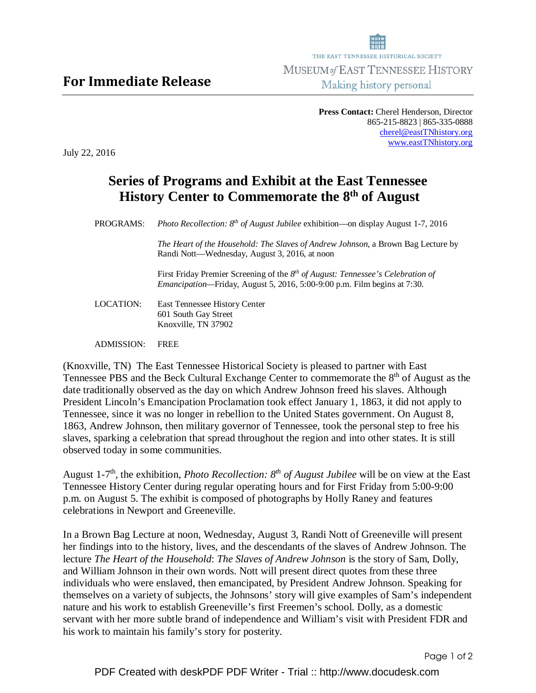**Press Contact:** Cherel Henderson, Director 865-215-8823 | 865-335-0888 cherel@eastTNhistory.org www.eastTNhistory.org

July 22, 2016

## **Series of Programs and Exhibit at the East Tennessee History Center to Commemorate the 8th of August**

PROGRAMS:*Photo Recollection: 8th of August Jubilee* exhibition—on display August 1-7, 2016

*The Heart of the Household: The Slaves of Andrew Johnson,* a Brown Bag Lecture by Randi Nott—Wednesday, August 3, 2016, at noon

First Friday Premier Screening of the *8 th of August: Tennessee's Celebration of Emancipation—*Friday, August 5, 2016, 5:00-9:00 p.m. Film begins at 7:30.

- LOCATION: East Tennessee History Center 601 South Gay Street Knoxville, TN 37902
- ADMISSION: FREE

(Knoxville, TN) The East Tennessee Historical Society is pleased to partner with East Tennessee PBS and the Beck Cultural Exchange Center to commemorate the 8<sup>th</sup> of August as the date traditionally observed as the day on which Andrew Johnson freed his slaves. Although President Lincoln's Emancipation Proclamation took effect January 1, 1863, it did not apply to Tennessee, since it was no longer in rebellion to the United States government. On August 8, 1863, Andrew Johnson, then military governor of Tennessee, took the personal step to free his slaves, sparking a celebration that spread throughout the region and into other states. It is still observed today in some communities.

August 1-7th, the exhibition, *Photo Recollection: 8th of August Jubilee* will be on view at the East Tennessee History Center during regular operating hours and for First Friday from 5:00-9:00 p.m. on August 5. The exhibit is composed of photographs by Holly Raney and features celebrations in Newport and Greeneville.

In a Brown Bag Lecture at noon, Wednesday, August 3, Randi Nott of Greeneville will present her findings into to the history, lives, and the descendants of the slaves of Andrew Johnson. The lecture *The Heart of the Household*: *The Slaves of Andrew Johnson* is the story of Sam, Dolly, and William Johnson in their own words. Nott will present direct quotes from these three individuals who were enslaved, then emancipated, by President Andrew Johnson. Speaking for themselves on a variety of subjects, the Johnsons' story will give examples of Sam's independent nature and his work to establish Greeneville's first Freemen's school. Dolly, as a domestic servant with her more subtle brand of independence and William's visit with President FDR and his work to maintain his family's story for posterity.